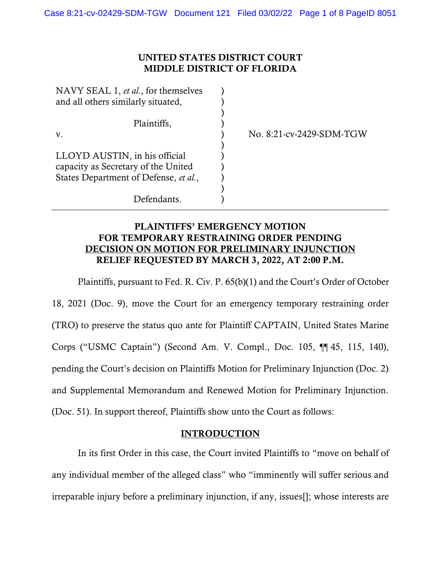## UNITED STATES DISTRICT COURT MIDDLE DISTRICT OF FLORIDA

| NAVY SEAL 1, <i>et al.</i> , for themselves<br>and all others similarly situated, |                          |
|-----------------------------------------------------------------------------------|--------------------------|
| Plaintiffs,                                                                       |                          |
| V.                                                                                | No. 8:21-cv-2429-SDM-TGW |
|                                                                                   |                          |
| LLOYD AUSTIN, in his official                                                     |                          |
| capacity as Secretary of the United                                               |                          |
| States Department of Defense, et al.,                                             |                          |
|                                                                                   |                          |
|                                                                                   |                          |

## PLAINTIFFS' EMERGENCY MOTION FOR TEMPORARY RESTRAINING ORDER PENDING DECISION ON MOTION FOR PRELIMINARY INJUNCTION RELIEF REQUESTED BY MARCH 3, 2022, AT 2:00 P.M.

Plaintiffs, pursuant to Fed. R. Civ. P. 65(b)(1) and the Court's Order of October 18, 2021 (Doc. 9), move the Court for an emergency temporary restraining order (TRO) to preserve the status quo ante for Plaintiff CAPTAIN, United States Marine Corps ("USMC Captain") (Second Am. V. Compl., Doc. 105, ¶¶ 45, 115, 140), pending the Court's decision on Plaintiffs Motion for Preliminary Injunction (Doc. 2) and Supplemental Memorandum and Renewed Motion for Preliminary Injunction. (Doc. 51). In support thereof, Plaintiffs show unto the Court as follows:

## INTRODUCTION

In its first Order in this case, the Court invited Plaintiffs to "move on behalf of any individual member of the alleged class" who "imminently will suffer serious and irreparable injury before a preliminary injunction, if any, issues[]; whose interests are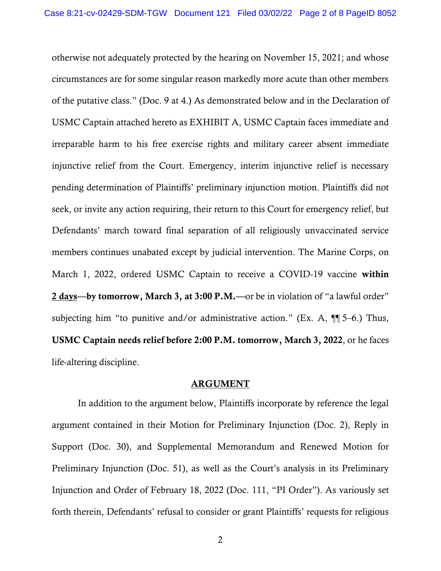otherwise not adequately protected by the hearing on November 15, 2021; and whose circumstances are for some singular reason markedly more acute than other members of the putative class." (Doc. 9 at 4.) As demonstrated below and in the Declaration of USMC Captain attached hereto as EXHIBIT A, USMC Captain faces immediate and irreparable harm to his free exercise rights and military career absent immediate injunctive relief from the Court. Emergency, interim injunctive relief is necessary pending determination of Plaintiffs' preliminary injunction motion. Plaintiffs did not seek, or invite any action requiring, their return to this Court for emergency relief, but Defendants' march toward final separation of all religiously unvaccinated service members continues unabated except by judicial intervention. The Marine Corps, on March 1, 2022, ordered USMC Captain to receive a COVID-19 vaccine within 2 days—by tomorrow, March 3, at 3:00 P.M.—or be in violation of "a lawful order" subjecting him "to punitive and/or administrative action." (Ex. A,  $\P$ ] 5–6.) Thus, USMC Captain needs relief before 2:00 P.M. tomorrow, March 3, 2022, or he faces life-altering discipline.

### ARGUMENT

In addition to the argument below, Plaintiffs incorporate by reference the legal argument contained in their Motion for Preliminary Injunction (Doc. 2), Reply in Support (Doc. 30), and Supplemental Memorandum and Renewed Motion for Preliminary Injunction (Doc. 51), as well as the Court's analysis in its Preliminary Injunction and Order of February 18, 2022 (Doc. 111, "PI Order"). As variously set forth therein, Defendants' refusal to consider or grant Plaintiffs' requests for religious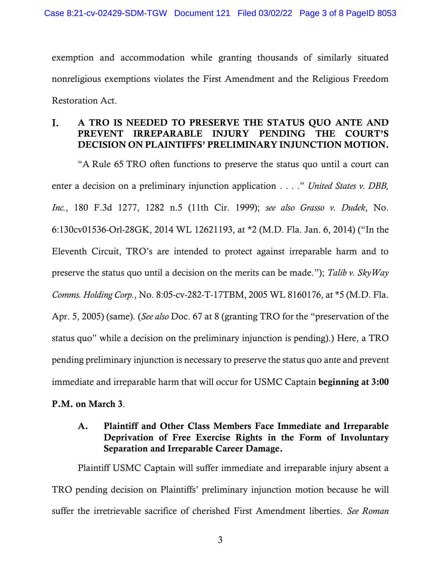exemption and accommodation while granting thousands of similarly situated nonreligious exemptions violates the First Amendment and the Religious Freedom Restoration Act.

#### I. A TRO IS NEEDED TO PRESERVE THE STATUS QUO ANTE AND PREVENT IRREPARABLE INJURY PENDING THE COURT'S DECISION ON PLAINTIFFS' PRELIMINARY INJUNCTION MOTION.

"A Rule 65 TRO often functions to preserve the status quo until a court can enter a decision on a preliminary injunction application . . . ." *United States v. DBB, Inc.*, 180 F.3d 1277, 1282 n.5 (11th Cir. 1999); *see also Grasso v. Dudek*, No. 6:130cv01536-Orl-28GK, 2014 WL 12621193, at \*2 (M.D. Fla. Jan. 6, 2014) ("In the Eleventh Circuit, TRO's are intended to protect against irreparable harm and to preserve the status quo until a decision on the merits can be made."); *Talib v. SkyWay Comms. Holding Corp.*, No. 8:05-cv-282-T-17TBM, 2005 WL 8160176, at \*5 (M.D. Fla. Apr. 5, 2005) (same). (*See also* Doc. 67 at 8 (granting TRO for the "preservation of the status quo" while a decision on the preliminary injunction is pending).) Here, a TRO pending preliminary injunction is necessary to preserve the status quo ante and prevent immediate and irreparable harm that will occur for USMC Captain beginning at 3:00 P.M. on March 3.

# A. Plaintiff and Other Class Members Face Immediate and Irreparable Deprivation of Free Exercise Rights in the Form of Involuntary Separation and Irreparable Career Damage.

Plaintiff USMC Captain will suffer immediate and irreparable injury absent a TRO pending decision on Plaintiffs' preliminary injunction motion because he will suffer the irretrievable sacrifice of cherished First Amendment liberties. *See Roman* 

3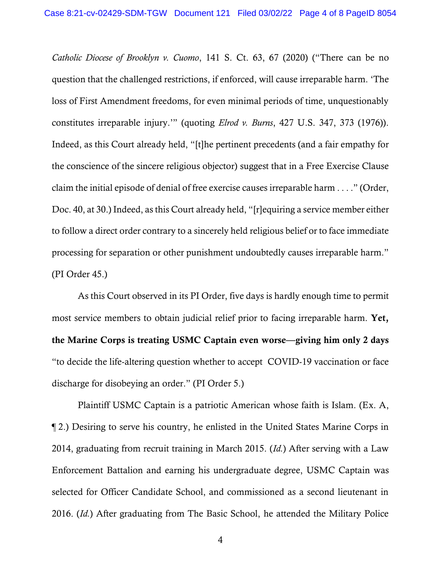*Catholic Diocese of Brooklyn v. Cuomo*, 141 S. Ct. 63, 67 (2020) ("There can be no question that the challenged restrictions, if enforced, will cause irreparable harm. 'The loss of First Amendment freedoms, for even minimal periods of time, unquestionably constitutes irreparable injury.'" (quoting *Elrod v. Burns*, 427 U.S. 347, 373 (1976)). Indeed, as this Court already held, "[t]he pertinent precedents (and a fair empathy for the conscience of the sincere religious objector) suggest that in a Free Exercise Clause claim the initial episode of denial of free exercise causes irreparable harm . . . ." (Order, Doc. 40, at 30.) Indeed, as this Court already held, "[r]equiring a service member either to follow a direct order contrary to a sincerely held religious belief or to face immediate processing for separation or other punishment undoubtedly causes irreparable harm." (PI Order 45.)

As this Court observed in its PI Order, five days is hardly enough time to permit most service members to obtain judicial relief prior to facing irreparable harm. Yet, the Marine Corps is treating USMC Captain even worse—giving him only 2 days "to decide the life-altering question whether to accept COVID-19 vaccination or face discharge for disobeying an order." (PI Order 5.)

Plaintiff USMC Captain is a patriotic American whose faith is Islam. (Ex. A, ¶ 2.) Desiring to serve his country, he enlisted in the United States Marine Corps in 2014, graduating from recruit training in March 2015. (*Id.*) After serving with a Law Enforcement Battalion and earning his undergraduate degree, USMC Captain was selected for Officer Candidate School, and commissioned as a second lieutenant in 2016. (*Id.*) After graduating from The Basic School, he attended the Military Police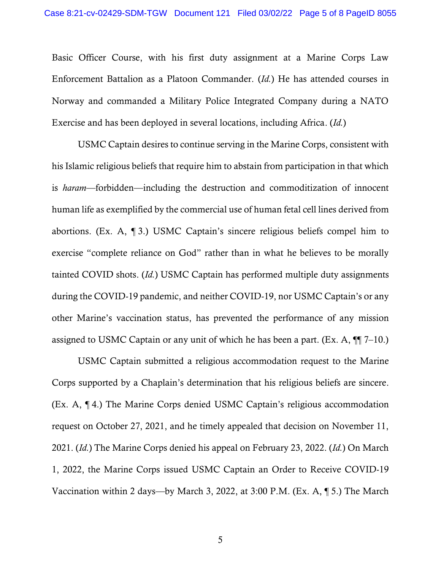Basic Officer Course, with his first duty assignment at a Marine Corps Law Enforcement Battalion as a Platoon Commander. (*Id.*) He has attended courses in Norway and commanded a Military Police Integrated Company during a NATO Exercise and has been deployed in several locations, including Africa. (*Id.*)

USMC Captain desires to continue serving in the Marine Corps, consistent with his Islamic religious beliefs that require him to abstain from participation in that which is *haram*—forbidden—including the destruction and commoditization of innocent human life as exemplified by the commercial use of human fetal cell lines derived from abortions. (Ex. A, ¶ 3.) USMC Captain's sincere religious beliefs compel him to exercise "complete reliance on God" rather than in what he believes to be morally tainted COVID shots. (*Id.*) USMC Captain has performed multiple duty assignments during the COVID-19 pandemic, and neither COVID-19, nor USMC Captain's or any other Marine's vaccination status, has prevented the performance of any mission assigned to USMC Captain or any unit of which he has been a part. (Ex. A,  $\P$  7–10.)

USMC Captain submitted a religious accommodation request to the Marine Corps supported by a Chaplain's determination that his religious beliefs are sincere. (Ex. A, ¶ 4.) The Marine Corps denied USMC Captain's religious accommodation request on October 27, 2021, and he timely appealed that decision on November 11, 2021. (*Id.*) The Marine Corps denied his appeal on February 23, 2022. (*Id.*) On March 1, 2022, the Marine Corps issued USMC Captain an Order to Receive COVID-19 Vaccination within 2 days—by March 3, 2022, at 3:00 P.M. (Ex. A, ¶ 5.) The March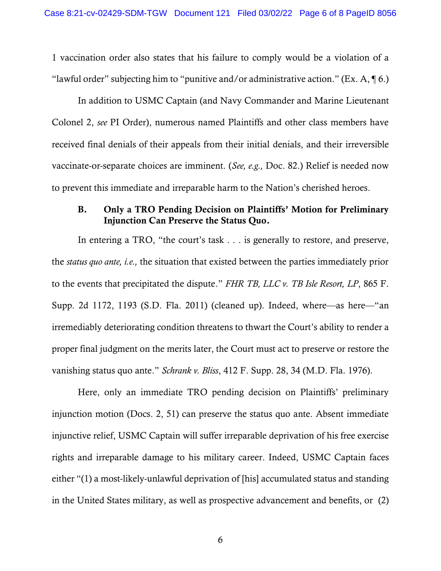1 vaccination order also states that his failure to comply would be a violation of a "lawful order" subjecting him to "punitive and/or administrative action." (Ex. A, ¶ 6.)

In addition to USMC Captain (and Navy Commander and Marine Lieutenant Colonel 2, *see* PI Order), numerous named Plaintiffs and other class members have received final denials of their appeals from their initial denials, and their irreversible vaccinate-or-separate choices are imminent. (*See, e.g.,* Doc. 82.) Relief is needed now to prevent this immediate and irreparable harm to the Nation's cherished heroes.

## B. Only a TRO Pending Decision on Plaintiffs' Motion for Preliminary Injunction Can Preserve the Status Quo.

In entering a TRO, "the court's task . . . is generally to restore, and preserve, the *status quo ante, i.e.,* the situation that existed between the parties immediately prior to the events that precipitated the dispute." *FHR TB, LLC v. TB Isle Resort, LP*, 865 F. Supp. 2d 1172, 1193 (S.D. Fla. 2011) (cleaned up). Indeed, where—as here—"an irremediably deteriorating condition threatens to thwart the Court's ability to render a proper final judgment on the merits later, the Court must act to preserve or restore the vanishing status quo ante." *Schrank v. Bliss*, 412 F. Supp. 28, 34 (M.D. Fla. 1976).

Here, only an immediate TRO pending decision on Plaintiffs' preliminary injunction motion (Docs. 2, 51) can preserve the status quo ante. Absent immediate injunctive relief, USMC Captain will suffer irreparable deprivation of his free exercise rights and irreparable damage to his military career. Indeed, USMC Captain faces either "(1) a most-likely-unlawful deprivation of [his] accumulated status and standing in the United States military, as well as prospective advancement and benefits, or (2)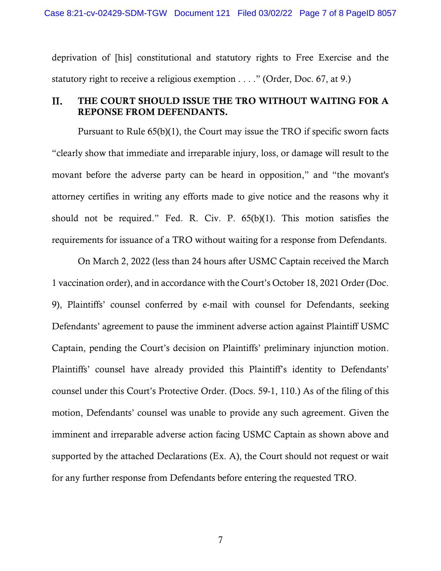Case 8:21-cv-02429-SDM-TGW Document 121 Filed 03/02/22 Page 7 of 8 PageID 8057

deprivation of [his] constitutional and statutory rights to Free Exercise and the statutory right to receive a religious exemption . . . ." (Order, Doc. 67, at 9.)

#### П. THE COURT SHOULD ISSUE THE TRO WITHOUT WAITING FOR A REPONSE FROM DEFENDANTS.

Pursuant to Rule 65(b)(1), the Court may issue the TRO if specific sworn facts "clearly show that immediate and irreparable injury, loss, or damage will result to the movant before the adverse party can be heard in opposition," and "the movant's attorney certifies in writing any efforts made to give notice and the reasons why it should not be required." Fed. R. Civ. P. 65(b)(1). This motion satisfies the requirements for issuance of a TRO without waiting for a response from Defendants.

On March 2, 2022 (less than 24 hours after USMC Captain received the March 1 vaccination order), and in accordance with the Court's October 18, 2021 Order (Doc. 9), Plaintiffs' counsel conferred by e-mail with counsel for Defendants, seeking Defendants' agreement to pause the imminent adverse action against Plaintiff USMC Captain, pending the Court's decision on Plaintiffs' preliminary injunction motion. Plaintiffs' counsel have already provided this Plaintiff's identity to Defendants' counsel under this Court's Protective Order. (Docs. 59-1, 110.) As of the filing of this motion, Defendants' counsel was unable to provide any such agreement. Given the imminent and irreparable adverse action facing USMC Captain as shown above and supported by the attached Declarations (Ex. A), the Court should not request or wait for any further response from Defendants before entering the requested TRO.